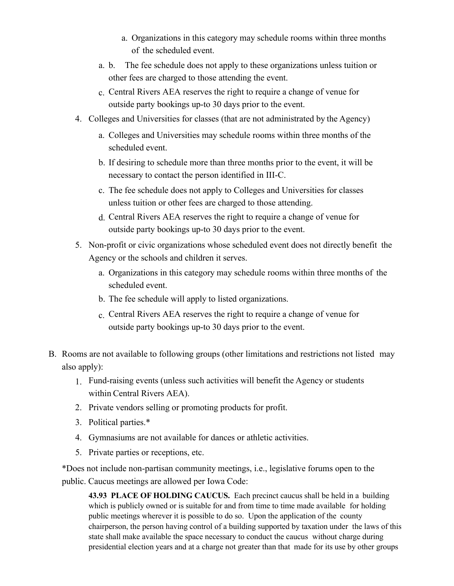- a. Organizations in this category may schedule rooms within three months of the scheduled event.
- a. b. The fee schedule does not apply to these organizations unless tuition or other fees are charged to those attending the event.
- c. Central Rivers AEA reserves the right to require a change of venue for outside party bookings up-to 30 days prior to the event.
- 4. Colleges and Universities for classes (that are not administrated by the Agency)
	- a. Colleges and Universities may schedule rooms within three months of the scheduled event.
	- b. If desiring to schedule more than three months prior to the event, it will be necessary to contact the person identified in III-C.
	- c. The fee schedule does not apply to Colleges and Universities for classes unless tuition or other fees are charged to those attending.
	- d. Central Rivers AEA reserves the right to require a change of venue for outside party bookings up-to 30 days prior to the event.
- 5. Non-profit or civic organizations whose scheduled event does not directly benefit the Agency or the schools and children it serves.
	- a. Organizations in this category may schedule rooms within three months of the scheduled event.
	- b. The fee schedule will apply to listed organizations.
	- c. Central Rivers AEA reserves the right to require a change of venue for outside party bookings up-to 30 days prior to the event.
- B. Rooms are not available to following groups (other limitations and restrictions not listed may also apply):
	- 1. Fund-raising events (unless such activities will benefit the Agency or students within Central Rivers AEA).
	- 2. Private vendors selling or promoting products for profit.
	- 3. Political parties.\*
	- 4. Gymnasiums are not available for dances or athletic activities.
	- 5. Private parties or receptions, etc.

\*Does not include non-partisan community meetings, i.e., legislative forums open to the public. Caucus meetings are allowed per Iowa Code:

**43.93 PLACE OF HOLDING CAUCUS.** Each precinct caucus shall be held in a building which is publicly owned or is suitable for and from time to time made available for holding public meetings wherever it is possible to do so. Upon the application of the county chairperson, the person having control of a building supported by taxation under the laws of this state shall make available the space necessary to conduct the caucus without charge during presidential election years and at a charge not greater than that made for its use by other groups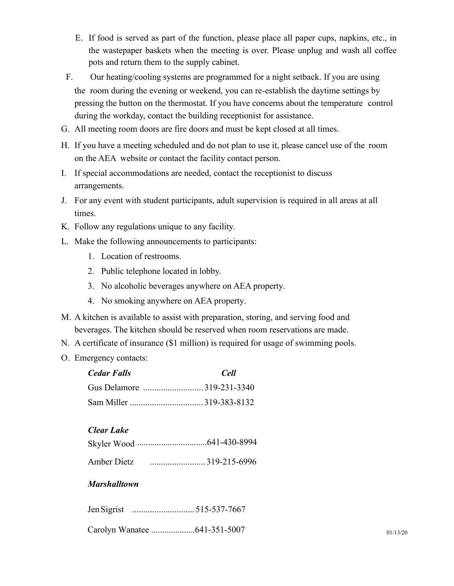- E. If food is served as part of the function, please place all paper cups, napkins, etc., in the wastepaper baskets when the meeting is over. Please unplug and wash all coffee pots and return them to the supply cabinet.
- F. Our heating/cooling systems are programmed for a night setback. If you are using the room during the evening or weekend, you can re-establish the daytime settings by pressing the button on the thermostat. If you have concerns about the temperature control during the workday, contact the building receptionist for assistance.
- G. All meeting room doors are fire doors and must be kept closed at all times.
- H. If you have a meeting scheduled and do not plan to use it, please cancel use of the room on the AEA website or contact the facility contact person.
- I. If special accommodations are needed, contact the receptionist to discuss arrangements.
- J. For any event with student participants, adult supervision is required in all areas at all times.
- K. Follow any regulations unique to any facility.
- L. Make the following announcements to participants:
	- 1. Location of restrooms.
	- 2. Public telephone located in lobby.
	- 3. No alcoholic beverages anywhere on AEA property.
	- 4. No smoking anywhere on AEA property.
- M. A kitchen is available to assist with preparation, storing, and serving food and beverages. The kitchen should be reserved when room reservations are made.
- N. A certificate of insurance (\$1 million) is required for usage of swimming pools.
- O. Emergency contacts:

| <b>Cedar Falls</b> | Cell |
|--------------------|------|
|                    |      |
|                    |      |

## *Clear Lake*

|             | Skyler Wood ……………………………641-430-8994 |
|-------------|-------------------------------------|
| Amber Dietz |                                     |

## *Marshalltown*

| Jen Sigrist |  |
|-------------|--|
|-------------|--|

Carolyn Wanatee ....................641-351-5007 <sup>01</sup>/13/<sup>20</sup>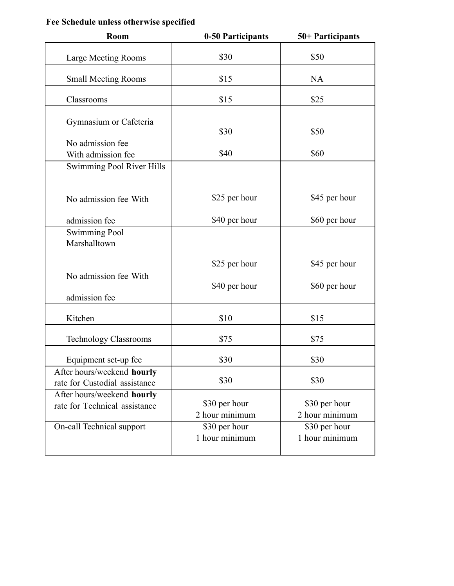## **Fee Schedule unless otherwise specified**

| Room                                                        | 0-50 Participants               | 50+ Participants                |  |  |
|-------------------------------------------------------------|---------------------------------|---------------------------------|--|--|
| <b>Large Meeting Rooms</b>                                  | \$30                            | \$50                            |  |  |
| <b>Small Meeting Rooms</b>                                  | \$15                            | <b>NA</b>                       |  |  |
| Classrooms                                                  | \$15                            | \$25                            |  |  |
| Gymnasium or Cafeteria<br>No admission fee                  | \$30                            | \$50                            |  |  |
| With admission fee                                          | \$40                            | \$60                            |  |  |
| Swimming Pool River Hills                                   |                                 |                                 |  |  |
| No admission fee With                                       | \$25 per hour                   | \$45 per hour                   |  |  |
| admission fee                                               | \$40 per hour                   | \$60 per hour                   |  |  |
| <b>Swimming Pool</b><br>Marshalltown                        |                                 |                                 |  |  |
| No admission fee With                                       | \$25 per hour                   | \$45 per hour                   |  |  |
| admission fee                                               | \$40 per hour                   | \$60 per hour                   |  |  |
| Kitchen                                                     | \$10                            | \$15                            |  |  |
| <b>Technology Classrooms</b>                                | \$75                            | \$75                            |  |  |
| Equipment set-up fee                                        | \$30                            | \$30                            |  |  |
| After hours/weekend hourly<br>rate for Custodial assistance | \$30                            | \$30                            |  |  |
| After hours/weekend hourly<br>rate for Technical assistance | \$30 per hour<br>2 hour minimum | \$30 per hour<br>2 hour minimum |  |  |
| On-call Technical support                                   | \$30 per hour<br>1 hour minimum | \$30 per hour<br>1 hour minimum |  |  |